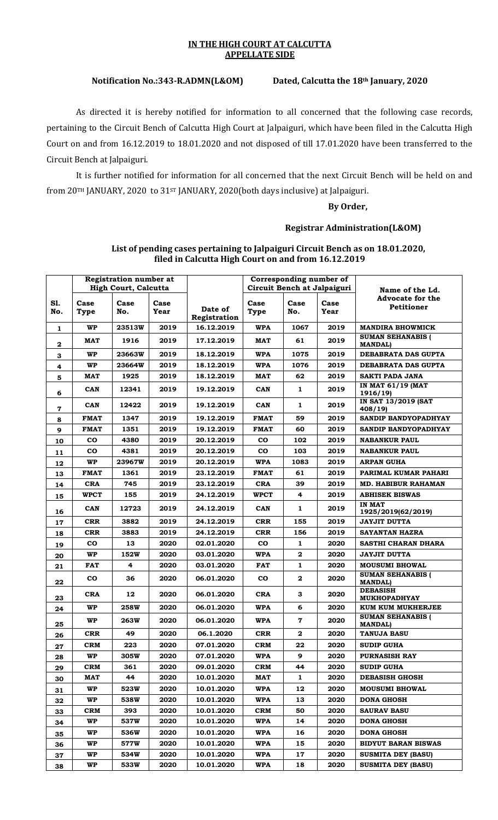#### **IN THE HIGH COURT AT CALCUTTA APPELLATE SIDE**

# **Notification No.:343-R.ADMN(L&OM) Dated, Calcutta the 18th January, 2020**

As directed it is hereby notified for information to all concerned that the following case records, pertaining to the Circuit Bench of Calcutta High Court at Jalpaiguri, which have been filed in the Calcutta High Court on and from 16.12.2019 to 18.01.2020 and not disposed of till 17.01.2020 have been transferred to the Circuit Bench at Jalpaiguri.

It is further notified for information for all concerned that the next Circuit Bench will be held on and from 20TH JANUARY, 2020 to 31ST JANUARY, 2020(both days inclusive) at Jalpaiguri.

### **By Order,**

## **Registrar Administration(L&OM)**

|                     |              | <b>Registration number at</b><br><b>High Court, Calcutta</b> |              |                         | Corresponding number of<br>Circuit Bench at Jalpaiguri |                  |              |                                                                 |
|---------------------|--------------|--------------------------------------------------------------|--------------|-------------------------|--------------------------------------------------------|------------------|--------------|-----------------------------------------------------------------|
| S1.<br>No.          | Case<br>Type | Case<br>No.                                                  | Case<br>Year | Date of<br>Registration | Case<br>Type                                           | Case<br>No.      | Case<br>Year | Name of the Ld.<br><b>Advocate for the</b><br><b>Petitioner</b> |
| 1                   | <b>WP</b>    | 23513W                                                       | 2019         | 16.12.2019              | <b>WPA</b>                                             | 1067             | 2019         | <b>MANDIRA BHOWMICK</b>                                         |
| $\mathbf{2}$        | MAT          | 1916                                                         | 2019         | 17.12.2019              | MAT                                                    | 61               | 2019         | <b>SUMAN SEHANABIS (</b><br><b>MANDALI</b>                      |
| 3                   | <b>WP</b>    | 23663W                                                       | 2019         | 18.12.2019              | <b>WPA</b>                                             | 1075             | 2019         | DEBABRATA DAS GUPTA                                             |
| $\ddot{\mathbf{4}}$ | WP           | <b>23664W</b>                                                | 2019         | 18.12.2019              | <b>WPA</b>                                             | 1076             | 2019         | DEBABRATA DAS GUPTA                                             |
| 5                   | <b>MAT</b>   | 1925                                                         | 2019         | 18.12.2019              | <b>MAT</b>                                             | 62               | 2019         | <b>SAKTI PADA JANA</b>                                          |
| 6                   | <b>CAN</b>   | 12341                                                        | 2019         | 19.12.2019              | CAN                                                    | $\mathbf{1}$     | 2019         | <b>IN MAT 61/19 (MAT</b><br>1916/19)                            |
| 7                   | <b>CAN</b>   | 12422                                                        | 2019         | 19.12.2019              | <b>CAN</b>                                             | $\mathbf{1}$     | 2019         | IN SAT 13/2019 (SAT<br>408/19                                   |
| 8                   | <b>FMAT</b>  | 1347                                                         | 2019         | 19.12.2019              | <b>FMAT</b>                                            | 59               | 2019         | SANDIP BANDYOPADHYAY                                            |
| 9                   | <b>FMAT</b>  | 1351                                                         | 2019         | 19.12.2019              | <b>FMAT</b>                                            | 60               | 2019         | SANDIP BANDYOPADHYAY                                            |
| 10                  | <b>CO</b>    | 4380                                                         | 2019         | 20.12.2019              | $\bf{co}$                                              | 102              | 2019         | <b>NABANKUR PAUL</b>                                            |
| 11                  | CO           | 4381                                                         | 2019         | 20.12.2019              | $\mathbf{co}$                                          | 103              | 2019         | <b>NABANKUR PAUL</b>                                            |
| 12                  | WP           | 23967W                                                       | 2019         | 20.12.2019              | <b>WPA</b>                                             | 1083             | 2019         | <b>ARPAN GUHA</b>                                               |
| 13                  | <b>FMAT</b>  | 1361                                                         | 2019         | 23.12.2019              | <b>FMAT</b>                                            | 61               | 2019         | PARIMAL KUMAR PAHARI                                            |
| 14                  | <b>CRA</b>   | 745                                                          | 2019         | 23.12.2019              | <b>CRA</b>                                             | 39               | 2019         | <b>MD. HABIBUR RAHAMAN</b>                                      |
| 15                  | <b>WPCT</b>  | 155                                                          | 2019         | 24.12.2019              | <b>WPCT</b>                                            | 4                | 2019         | <b>ABHISEK BISWAS</b>                                           |
| 16                  | <b>CAN</b>   | 12723                                                        | 2019         | 24.12.2019              | <b>CAN</b>                                             | 1                | 2019         | <b>IN MAT</b><br>1925/2019(62/2019)                             |
| 17                  | <b>CRR</b>   | 3882                                                         | 2019         | 24.12.2019              | <b>CRR</b>                                             | 155              | 2019         | <b>JAYJIT DUTTA</b>                                             |
| 18                  | <b>CRR</b>   | 3883                                                         | 2019         | 24.12.2019              | <b>CRR</b>                                             | 156              | 2019         | SAYANTAN HAZRA                                                  |
| 19                  | CO.          | 13                                                           | 2020         | 02.01.2020              | $\bf{co}$                                              | 1                | 2020         | SASTHI CHARAN DHARA                                             |
| 20                  | WP           | 152W                                                         | 2020         | 03.01.2020              | WPA                                                    | $\boldsymbol{2}$ | 2020         | <b>JAYJIT DUTTA</b>                                             |
| 21                  | <b>FAT</b>   | 4                                                            | 2020         | 03.01.2020              | FAT                                                    | 1                | 2020         | <b>MOUSUMI BHOWAL</b>                                           |
| 22                  | <b>CO</b>    | 36                                                           | 2020         | 06.01.2020              | $\mathbf{co}$                                          | $\mathbf{2}$     | 2020         | <b>SUMAN SEHANABIS (</b><br><b>MANDAL)</b>                      |
| 23                  | <b>CRA</b>   | 12                                                           | 2020         | 06.01.2020              | CRA                                                    | 3                | 2020         | <b>DEBASISH</b><br><b>MUKHOPADHYAY</b>                          |
| 24                  | <b>WP</b>    | <b>258W</b>                                                  | 2020         | 06.01.2020              | <b>WPA</b>                                             | 6                | 2020         | KUM KUM MUKHERJEE                                               |
| 25                  | WP           | <b>263W</b>                                                  | 2020         | 06.01.2020              | WPA                                                    | $\mathbf 7$      | 2020         | <b>SUMAN SEHANABIS (</b><br><b>MANDALI</b>                      |
| 26                  | <b>CRR</b>   | 49                                                           | 2020         | 06.1.2020               | <b>CRR</b>                                             | 2                | 2020         | <b>TANUJA BASU</b>                                              |
| 27                  | <b>CRM</b>   | 223                                                          | 2020         | 07.01.2020              | <b>CRM</b>                                             | 22               | 2020         | <b>SUDIP GUHA</b>                                               |
| 28                  | <b>WP</b>    | 305W                                                         | 2020         | 07.01.2020              | WPA                                                    | 9                | 2020         | <b>PURNASISH RAY</b>                                            |
| 29                  | CRM          | 361                                                          | 2020         | 09.01.2020              | <b>CRM</b>                                             | 44               | 2020         | <b>SUDIP GUHA</b>                                               |
| 30                  | MAT          | 44                                                           | 2020         | 10.01.2020              | MAT                                                    | 1                | 2020         | <b>DEBASISH GHOSH</b>                                           |
| 31                  | <b>WP</b>    | 523W                                                         | 2020         | 10.01.2020              | WPA                                                    | 12               | 2020         | <b>MOUSUMI BHOWAL</b>                                           |
| 32                  | WP.          | 538W                                                         | 2020         | 10.01.2020              | WPA                                                    | 13               | 2020         | <b>DONA GHOSH</b>                                               |
| 33                  | <b>CRM</b>   | 393                                                          | 2020         | 10.01.2020              | <b>CRM</b>                                             | 50               | 2020         | <b>SAURAV BASU</b>                                              |
| 34                  | <b>WP</b>    | 537W                                                         | 2020         | 10.01.2020              | <b>WPA</b>                                             | 14               | 2020         | <b>DONA GHOSH</b>                                               |
| 35                  | <b>WP</b>    | 536W                                                         | 2020         | 10.01.2020              | <b>WPA</b>                                             | 16               | 2020         | <b>DONA GHOSH</b>                                               |
| 36                  | WP           | 577W                                                         | 2020         | 10.01.2020              | <b>WPA</b>                                             | 15               | 2020         | <b>BIDYUT BARAN BISWAS</b>                                      |
| 37                  | WP           | 534W                                                         | 2020         | 10.01.2020              | WPA                                                    | 17               | 2020         | SUSMITA DEY (BASU)                                              |
| 38                  | WP           | 533W                                                         | 2020         | 10.01.2020              | <b>WPA</b>                                             | 18               | 2020         | SUSMITA DEY (BASU)                                              |

### List of pending cases pertaining to Jalpaiguri Circuit Bench as on 18.01.2020, **filed in Calcutta High Court on and from 16.12.2019**